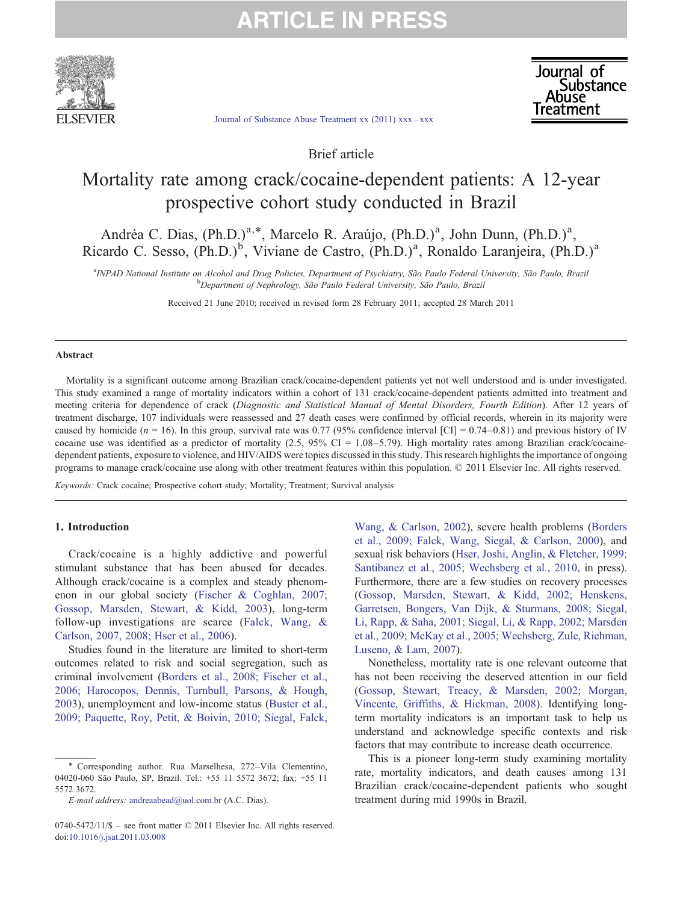

Journal of Suissince<br>Abuse **Ireatment** 

[Journal of Substance Abuse Treatment xx \(2011\) xxx](http://dx.doi.org/10.1016/j.jsat.2011.03.008)–xxx

Brief article

### Mortality rate among crack/cocaine-dependent patients: A 12-year prospective cohort study conducted in Brazil

Andréa C. Dias, (Ph.D.)<sup>a,\*</sup>, Marcelo R. Araújo, (Ph.D.)<sup>a</sup>, John Dunn, (Ph.D.)<sup>a</sup>, Ricardo C. Sesso, (Ph.D.)<sup>b</sup>, Viviane de Castro, (Ph.D.)<sup>a</sup>, Ronaldo Laranjeira, (Ph.D.)<sup>a</sup>

a INPAD National Institute on Alcohol and Drug Policies, Department of Psychiatry, São Paulo Federal University, São Paulo, Brazil <sup>b</sup>Department of Nephrology, São Paulo Federal University, São Paulo, Brazil

Received 21 June 2010; received in revised form 28 February 2011; accepted 28 March 2011

#### Abstract

Mortality is a significant outcome among Brazilian crack/cocaine-dependent patients yet not well understood and is under investigated. This study examined a range of mortality indicators within a cohort of 131 crack/cocaine-dependent patients admitted into treatment and meeting criteria for dependence of crack (Diagnostic and Statistical Manual of Mental Disorders, Fourth Edition). After 12 years of treatment discharge, 107 individuals were reassessed and 27 death cases were confirmed by official records, wherein in its majority were caused by homicide ( $n = 16$ ). In this group, survival rate was 0.77 (95% confidence interval [CI] = 0.74–0.81) and previous history of IV cocaine use was identified as a predictor of mortality  $(2.5, 95\% \text{ CI} = 1.08 - 5.79)$ . High mortality rates among Brazilian crack/cocainedependent patients, exposure to violence, and HIV/AIDS were topics discussed in this study. This research highlights the importance of ongoing programs to manage crack/cocaine use along with other treatment features within this population. © 2011 Elsevier Inc. All rights reserved.

Keywords: Crack cocaine; Prospective cohort study; Mortality; Treatment; Survival analysis

### 1. Introduction

Crack/cocaine is a highly addictive and powerful stimulant substance that has been abused for decades. Although crack/cocaine is a complex and steady phenomenon in our global society ([Fischer & Coghlan, 2007;](#page-4-0) [Gossop, Marsden, Stewart, & Kidd, 2003](#page-4-0)), long-term follow-up investigations are scarce ([Falck, Wang, &](#page-4-0) [Carlson, 2007, 2008; Hser et al., 2006](#page-4-0)).

Studies found in the literature are limited to short-term outcomes related to risk and social segregation, such as criminal involvement ([Borders et al., 2008; Fischer et al.,](#page-4-0) [2006; Harocopos, Dennis, Turnbull, Parsons, & Hough,](#page-4-0) [2003](#page-4-0)), unemployment and low-income status [\(Buster et al.,](#page-4-0) [2009; Paquette, Roy, Petit, & Boivin, 2010; Siegal, Falck,](#page-4-0) [Wang, & Carlson, 2002](#page-4-0)), severe health problems ([Borders](#page-4-0) [et al., 2009; Falck, Wang, Siegal, & Carlson, 2000\)](#page-4-0), and sexual risk behaviors ([Hser, Joshi, Anglin, & Fletcher, 1999;](#page-4-0) [Santibanez et al., 2005; Wechsberg et al., 2010,](#page-4-0) in press). Furthermore, there are a few studies on recovery processes [\(Gossop, Marsden, Stewart, & Kidd, 2002; Henskens,](#page-4-0) [Garretsen, Bongers, Van Dijk, & Sturmans, 2008; Siegal,](#page-4-0) [Li, Rapp, & Saha, 2001; Siegal, Li, & Rapp, 2002; Marsden](#page-4-0) [et al., 2009; McKay et al., 2005; Wechsberg, Zule, Riehman,](#page-4-0) [Luseno, & Lam, 2007](#page-4-0)).

Nonetheless, mortality rate is one relevant outcome that has not been receiving the deserved attention in our field [\(Gossop, Stewart, Treacy, & Marsden, 2002; Morgan,](#page-4-0) [Vincente, Griffiths, & Hickman, 2008\)](#page-4-0). Identifying longterm mortality indicators is an important task to help us understand and acknowledge specific contexts and risk factors that may contribute to increase death occurrence.

This is a pioneer long-term study examining mortality rate, mortality indicators, and death causes among 131 Brazilian crack/cocaine-dependent patients who sought treatment during mid 1990s in Brazil.

<sup>⁎</sup> Corresponding author. Rua Marselhesa, 272–Vila Clementino, 04020-060 São Paulo, SP, Brazil. Tel.: +55 11 5572 3672; fax: +55 11 5572 3672.

E-mail address: [andreaabead@uol.com.br](mailto:andreaabead@uol.com.br) (A.C. Dias).

<sup>0740-5472/11/\$</sup> – see front matter © 2011 Elsevier Inc. All rights reserved. doi[:10.1016/j.jsat.2011.03.008](http://dx.doi.org/10.1016/j.jsat.2011.03.008)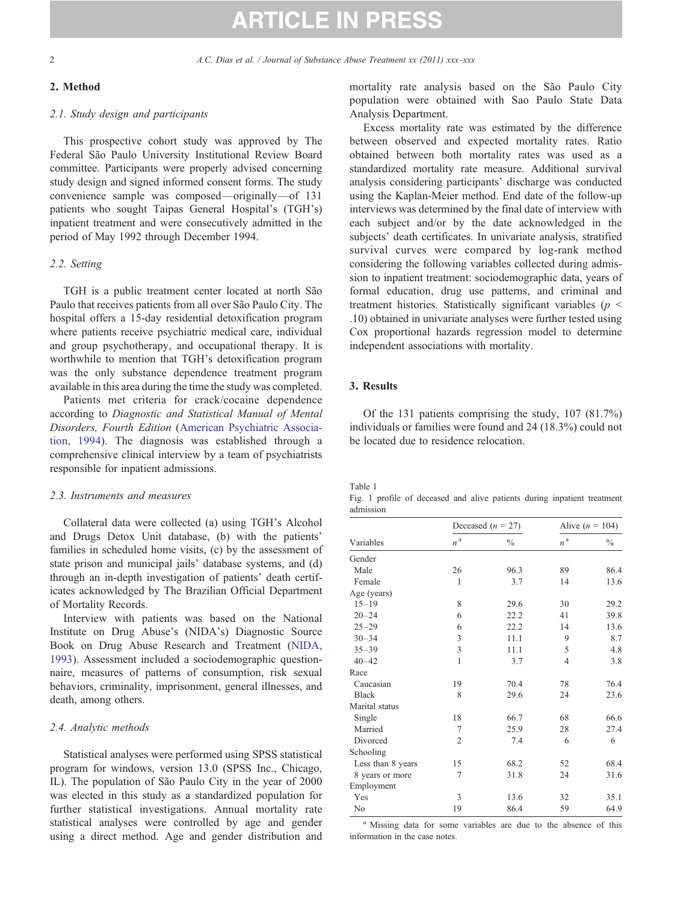### 2. Method

### 2.1. Study design and participants

This prospective cohort study was approved by The Federal São Paulo University Institutional Review Board committee. Participants were properly advised concerning study design and signed informed consent forms. The study convenience sample was composed—originally—of 131 patients who sought Taipas General Hospital's (TGH's) inpatient treatment and were consecutively admitted in the period of May 1992 through December 1994.

#### 2.2. Setting

TGH is a public treatment center located at north São Paulo that receives patients from all over São Paulo City. The hospital offers a 15-day residential detoxification program where patients receive psychiatric medical care, individual and group psychotherapy, and occupational therapy. It is worthwhile to mention that TGH's detoxification program was the only substance dependence treatment program available in this area during the time the study was completed.

Patients met criteria for crack/cocaine dependence according to Diagnostic and Statistical Manual of Mental Disorders, Fourth Edition ([American Psychiatric Associa](#page-4-0)[tion, 1994\)](#page-4-0). The diagnosis was established through a comprehensive clinical interview by a team of psychiatrists responsible for inpatient admissions.

### 2.3. Instruments and measures

Collateral data were collected (a) using TGH's Alcohol and Drugs Detox Unit database, (b) with the patients' families in scheduled home visits, (c) by the assessment of state prison and municipal jails' database systems, and (d) through an in-depth investigation of patients' death certificates acknowledged by The Brazilian Official Department of Mortality Records.

Interview with patients was based on the National Institute on Drug Abuse's (NIDA's) Diagnostic Source Book on Drug Abuse Research and Treatment ([NIDA,](#page-4-0) [1993\)](#page-4-0). Assessment included a sociodemographic questionnaire, measures of patterns of consumption, risk sexual behaviors, criminality, imprisonment, general illnesses, and death, among others.

### 2.4. Analytic methods

<span id="page-1-0"></span>Statistical analyses were performed using SPSS statistical program for windows, version 13.0 (SPSS Inc., Chicago, IL). The population of São Paulo City in the year of 2000 was elected in this study as a standardized population for further statistical investigations. Annual mortality rate statistical analyses were controlled by age and gender using a direct method. Age and gender distribution and mortality rate analysis based on the São Paulo City population were obtained with Sao Paulo State Data Analysis Department.

Excess mortality rate was estimated by the difference between observed and expected mortality rates. Ratio obtained between both mortality rates was used as a standardized mortality rate measure. Additional survival analysis considering participants' discharge was conducted using the Kaplan-Meier method. End date of the follow-up interviews was determined by the final date of interview with each subject and/or by the date acknowledged in the subjects' death certificates. In univariate analysis, stratified survival curves were compared by log-rank method considering the following variables collected during admission to inpatient treatment: sociodemographic data, years of formal education, drug use patterns, and criminal and treatment histories. Statistically significant variables ( $p <$ .10) obtained in univariate analyses were further tested using Cox proportional hazards regression model to determine independent associations with mortality.

### 3. Results

Of the 131 patients comprising the study, 107 (81.7%) individuals or families were found and 24 (18.3%) could not be located due to residence relocation.

Table 1

Fig. 1 profile of deceased and alive patients during inpatient treatment admission

| Variables         | Deceased $(n = 27)$ |               | Alive $(n = 104)$  |               |
|-------------------|---------------------|---------------|--------------------|---------------|
|                   | $n^{\,\mathrm{a}}$  | $\frac{0}{0}$ | $n^{\,\mathrm{a}}$ | $\frac{0}{0}$ |
| Gender            |                     |               |                    |               |
| Male              | 26                  | 96.3          | 89                 | 86.4          |
| Female            | 1                   | 3.7           | 14                 | 13.6          |
| Age (years)       |                     |               |                    |               |
| $15 - 19$         | 8                   | 29.6          | 30                 | 29.2          |
| $20 - 24$         | 6                   | 22.2          | 41                 | 39.8          |
| $25 - 29$         | 6                   | 22.2          | 14                 | 13.6          |
| $30 - 34$         | 3                   | 11.1          | 9                  | 8.7           |
| $35 - 39$         | 3                   | 11.1          | 5                  | 4.8           |
| $40 - 42$         | $\mathbf{1}$        | 3.7           | 4                  | 3.8           |
| Race              |                     |               |                    |               |
| Caucasian         | 19                  | 70.4          | 78                 | 76.4          |
| <b>Black</b>      | 8                   | 29.6          | 24                 | 23.6          |
| Marital status    |                     |               |                    |               |
| Single            | 18                  | 66.7          | 68                 | 66.6          |
| Married           | 7                   | 25.9          | 28                 | 27.4          |
| Divorced          | $\overline{2}$      | 7.4           | 6                  | 6             |
| Schooling         |                     |               |                    |               |
| Less than 8 years | 15                  | 68.2          | 52                 | 68.4          |
| 8 years or more   | 7                   | 31.8          | 24                 | 31.6          |
| Employment        |                     |               |                    |               |
| Yes               | 3                   | 13.6          | 32                 | 35.1          |
| No                | 19                  | 86.4          | 59                 | 64.9          |

<sup>a</sup> Missing data for some variables are due to the absence of this information in the case notes.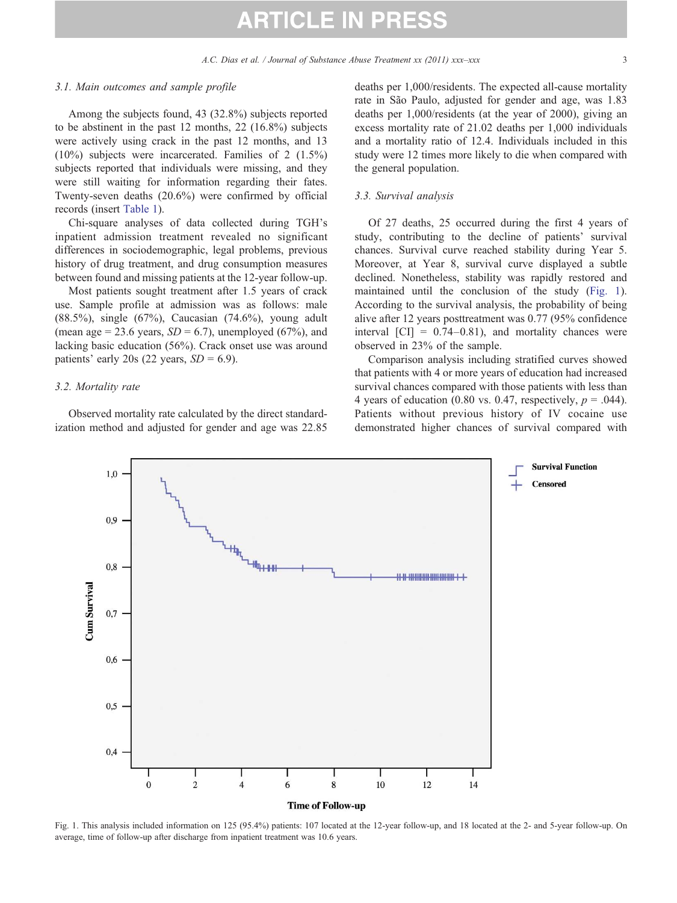#### 3.1. Main outcomes and sample profile

Among the subjects found, 43 (32.8%) subjects reported to be abstinent in the past 12 months, 22 (16.8%) subjects were actively using crack in the past 12 months, and 13 (10%) subjects were incarcerated. Families of 2 (1.5%) subjects reported that individuals were missing, and they were still waiting for information regarding their fates. Twenty-seven deaths (20.6%) were confirmed by official records (insert [Table 1\)](#page-1-0).

Chi-square analyses of data collected during TGH's inpatient admission treatment revealed no significant differences in sociodemographic, legal problems, previous history of drug treatment, and drug consumption measures between found and missing patients at the 12-year follow-up.

Most patients sought treatment after 1.5 years of crack use. Sample profile at admission was as follows: male (88.5%), single (67%), Caucasian (74.6%), young adult (mean age = 23.6 years,  $SD = 6.7$ ), unemployed (67%), and lacking basic education (56%). Crack onset use was around patients' early 20s (22 years,  $SD = 6.9$ ).

#### 3.2. Mortality rate

Observed mortality rate calculated by the direct standardization method and adjusted for gender and age was 22.85 deaths per 1,000/residents. The expected all-cause mortality rate in São Paulo, adjusted for gender and age, was 1.83 deaths per 1,000/residents (at the year of 2000), giving an excess mortality rate of 21.02 deaths per 1,000 individuals and a mortality ratio of 12.4. Individuals included in this study were 12 times more likely to die when compared with the general population.

### 3.3. Survival analysis

Of 27 deaths, 25 occurred during the first 4 years of study, contributing to the decline of patients' survival chances. Survival curve reached stability during Year 5. Moreover, at Year 8, survival curve displayed a subtle declined. Nonetheless, stability was rapidly restored and maintained until the conclusion of the study ([Fig. 1\)](#page-2-0). According to the survival analysis, the probability of being alive after 12 years posttreatment was 0.77 (95% confidence interval  $\text{[CI]} = 0.74{\text{-}}0.81$ , and mortality chances were observed in 23% of the sample.

Comparison analysis including stratified curves showed that patients with 4 or more years of education had increased survival chances compared with those patients with less than 4 years of education (0.80 vs. 0.47, respectively,  $p = .044$ ). Patients without previous history of IV cocaine use demonstrated higher chances of survival compared with



<span id="page-2-0"></span>Fig. 1. This analysis included information on 125 (95.4%) patients: 107 located at the 12-year follow-up, and 18 located at the 2- and 5-year follow-up. On average, time of follow-up after discharge from inpatient treatment was 10.6 years.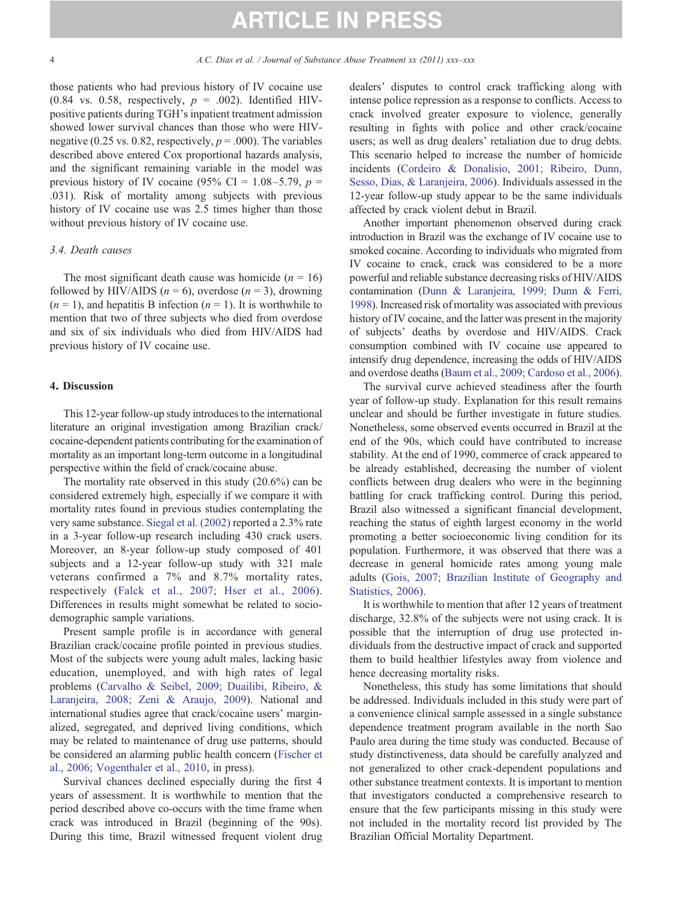those patients who had previous history of IV cocaine use (0.84 vs. 0.58, respectively,  $p = .002$ ). Identified HIVpositive patients during TGH's inpatient treatment admission showed lower survival chances than those who were HIVnegative (0.25 vs. 0.82, respectively,  $p = .000$ ). The variables described above entered Cox proportional hazards analysis, and the significant remaining variable in the model was previous history of IV cocaine (95% CI = 1.08–5.79,  $p =$ .031). Risk of mortality among subjects with previous history of IV cocaine use was 2.5 times higher than those without previous history of IV cocaine use.

### 3.4. Death causes

The most significant death cause was homicide ( $n = 16$ ) followed by HIV/AIDS ( $n = 6$ ), overdose ( $n = 3$ ), drowning  $(n = 1)$ , and hepatitis B infection  $(n = 1)$ . It is worthwhile to mention that two of three subjects who died from overdose and six of six individuals who died from HIV/AIDS had previous history of IV cocaine use.

### 4. Discussion

This 12-year follow-up study introduces to the international literature an original investigation among Brazilian crack/ cocaine-dependent patients contributing for the examination of mortality as an important long-term outcome in a longitudinal perspective within the field of crack/cocaine abuse.

The mortality rate observed in this study (20.6%) can be considered extremely high, especially if we compare it with mortality rates found in previous studies contemplating the very same substance. [Siegal et al. \(2002\)](#page-5-0) reported a 2.3% rate in a 3-year follow-up research including 430 crack users. Moreover, an 8-year follow-up study composed of 401 subjects and a 12-year follow-up study with 321 male veterans confirmed a 7% and 8.7% mortality rates, respectively ([Falck et al., 2007; Hser et al., 2006\)](#page-4-0). Differences in results might somewhat be related to sociodemographic sample variations.

Present sample profile is in accordance with general Brazilian crack/cocaine profile pointed in previous studies. Most of the subjects were young adult males, lacking basic education, unemployed, and with high rates of legal problems [\(Carvalho & Seibel, 2009; Duailibi, Ribeiro, &](#page-4-0) [Laranjeira, 2008; Zeni & Araujo, 2009](#page-4-0)). National and international studies agree that crack/cocaine users' marginalized, segregated, and deprived living conditions, which may be related to maintenance of drug use patterns, should be considered an alarming public health concern ([Fischer et](#page-4-0) [al., 2006; Vogenthaler et al., 2010](#page-4-0), in press).

Survival chances declined especially during the first 4 years of assessment. It is worthwhile to mention that the period described above co-occurs with the time frame when crack was introduced in Brazil (beginning of the 90s). During this time, Brazil witnessed frequent violent drug dealers' disputes to control crack trafficking along with intense police repression as a response to conflicts. Access to crack involved greater exposure to violence, generally resulting in fights with police and other crack/cocaine users; as well as drug dealers' retaliation due to drug debts. This scenario helped to increase the number of homicide incidents ([Cordeiro & Donalisio, 2001; Ribeiro, Dunn,](#page-4-0) [Sesso, Dias, & Laranjeira, 2006\)](#page-4-0). Individuals assessed in the 12-year follow-up study appear to be the same individuals affected by crack violent debut in Brazil.

Another important phenomenon observed during crack introduction in Brazil was the exchange of IV cocaine use to smoked cocaine. According to individuals who migrated from IV cocaine to crack, crack was considered to be a more powerful and reliable substance decreasing risks of HIV/AIDS contamination [\(Dunn & Laranjeira, 1999; Dunn & Ferri,](#page-4-0) [1998](#page-4-0)). Increased risk of mortality was associated with previous history of IV cocaine, and the latter was present in the majority of subjects' deaths by overdose and HIV/AIDS. Crack consumption combined with IV cocaine use appeared to intensify drug dependence, increasing the odds of HIV/AIDS and overdose deaths [\(Baum et al., 2009; Cardoso et al., 2006](#page-4-0)).

The survival curve achieved steadiness after the fourth year of follow-up study. Explanation for this result remains unclear and should be further investigate in future studies. Nonetheless, some observed events occurred in Brazil at the end of the 90s, which could have contributed to increase stability. At the end of 1990, commerce of crack appeared to be already established, decreasing the number of violent conflicts between drug dealers who were in the beginning battling for crack trafficking control. During this period, Brazil also witnessed a significant financial development, reaching the status of eighth largest economy in the world promoting a better socioeconomic living condition for its population. Furthermore, it was observed that there was a decrease in general homicide rates among young male adults [\(Gois, 2007; Brazilian Institute of Geography and](#page-4-0) [Statistics, 2006\)](#page-4-0).

It is worthwhile to mention that after 12 years of treatment discharge, 32.8% of the subjects were not using crack. It is possible that the interruption of drug use protected individuals from the destructive impact of crack and supported them to build healthier lifestyles away from violence and hence decreasing mortality risks.

Nonetheless, this study has some limitations that should be addressed. Individuals included in this study were part of a convenience clinical sample assessed in a single substance dependence treatment program available in the north Sao Paulo area during the time study was conducted. Because of study distinctiveness, data should be carefully analyzed and not generalized to other crack-dependent populations and other substance treatment contexts. It is important to mention that investigators conducted a comprehensive research to ensure that the few participants missing in this study were not included in the mortality record list provided by The Brazilian Official Mortality Department.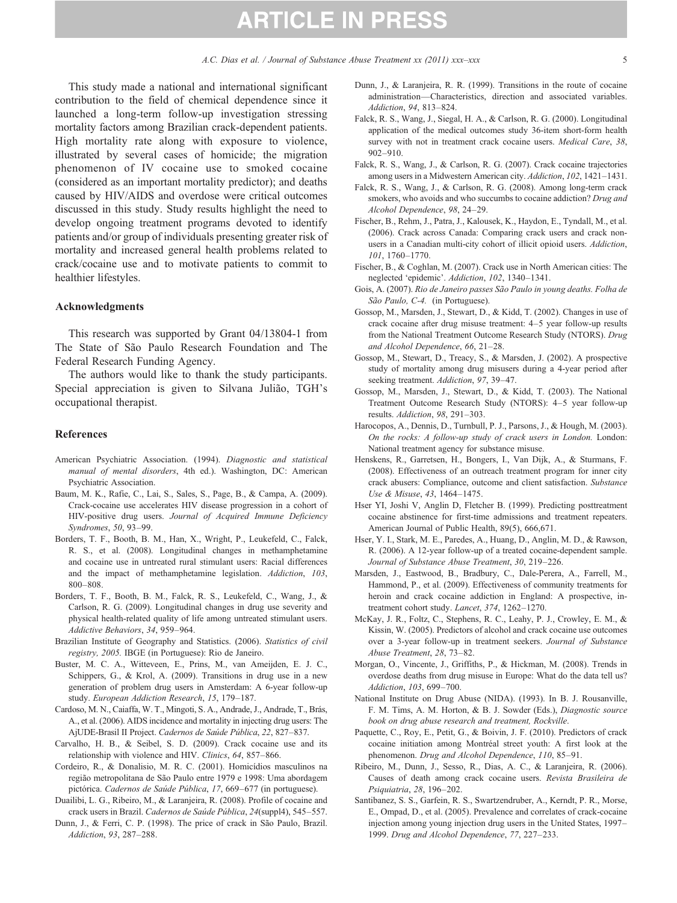A.C. Dias et al. / Journal of Substance Abuse Treatment xx (2011) xxx-xxx 5

This study made a national and international significant contribution to the field of chemical dependence since it launched a long-term follow-up investigation stressing mortality factors among Brazilian crack-dependent patients. High mortality rate along with exposure to violence, illustrated by several cases of homicide; the migration phenomenon of IV cocaine use to smoked cocaine (considered as an important mortality predictor); and deaths caused by HIV/AIDS and overdose were critical outcomes discussed in this study. Study results highlight the need to develop ongoing treatment programs devoted to identify patients and/or group of individuals presenting greater risk of mortality and increased general health problems related to crack/cocaine use and to motivate patients to commit to healthier lifestyles.

### Acknowledgments

This research was supported by Grant 04/13804-1 from The State of São Paulo Research Foundation and The Federal Research Funding Agency.

The authors would like to thank the study participants. Special appreciation is given to Silvana Julião, TGH's occupational therapist.

### References

- American Psychiatric Association. (1994). Diagnostic and statistical manual of mental disorders, 4th ed.). Washington, DC: American Psychiatric Association.
- Baum, M. K., Rafie, C., Lai, S., Sales, S., Page, B., & Campa, A. (2009). Crack-cocaine use accelerates HIV disease progression in a cohort of HIV-positive drug users. Journal of Acquired Immune Deficiency Syndromes, 50, 93–99.
- Borders, T. F., Booth, B. M., Han, X., Wright, P., Leukefeld, C., Falck, R. S., et al. (2008). Longitudinal changes in methamphetamine and cocaine use in untreated rural stimulant users: Racial differences and the impact of methamphetamine legislation. Addiction, 103, 800–808.
- Borders, T. F., Booth, B. M., Falck, R. S., Leukefeld, C., Wang, J., & Carlson, R. G. (2009). Longitudinal changes in drug use severity and physical health-related quality of life among untreated stimulant users. Addictive Behaviors, 34, 959–964.
- Brazilian Institute of Geography and Statistics. (2006). Statistics of civil registry, 2005. IBGE (in Portuguese): Rio de Janeiro.
- Buster, M. C. A., Witteveen, E., Prins, M., van Ameijden, E. J. C., Schippers, G., & Krol, A. (2009). Transitions in drug use in a new generation of problem drug users in Amsterdam: A 6-year follow-up study. European Addiction Research, 15, 179–187.
- Cardoso, M. N., Caiaffa, W. T., Mingoti, S. A., Andrade, J., Andrade, T., Brás, A., et al. (2006). AIDS incidence and mortality in injecting drug users: The AjUDE-Brasil II Project. Cadernos de Saúde Pública, 22, 827–837.
- Carvalho, H. B., & Seibel, S. D. (2009). Crack cocaine use and its relationship with violence and HIV. Clinics, 64, 857–866.
- Cordeiro, R., & Donalisio, M. R. C. (2001). Homicídios masculinos na região metropolitana de São Paulo entre 1979 e 1998: Uma abordagem pictórica. Cadernos de Saúde Pública, 17, 669–677 (in portuguese).
- Duailibi, L. G., Ribeiro, M., & Laranjeira, R. (2008). Profile of cocaine and crack users in Brazil. Cadernos de Saúde Pública, 24(suppl4), 545–557.
- <span id="page-4-0"></span>Dunn, J., & Ferri, C. P. (1998). The price of crack in São Paulo, Brazil. Addiction, 93, 287–288.
- Dunn, J., & Laranjeira, R. R. (1999). Transitions in the route of cocaine administration—Characteristics, direction and associated variables. Addiction, 94, 813–824.
- Falck, R. S., Wang, J., Siegal, H. A., & Carlson, R. G. (2000). Longitudinal application of the medical outcomes study 36-item short-form health survey with not in treatment crack cocaine users. Medical Care, 38, 902–910.
- Falck, R. S., Wang, J., & Carlson, R. G. (2007). Crack cocaine trajectories among users in a Midwestern American city. Addiction, 102, 1421–1431.
- Falck, R. S., Wang, J., & Carlson, R. G. (2008). Among long-term crack smokers, who avoids and who succumbs to cocaine addiction? Drug and Alcohol Dependence, 98, 24–29.
- Fischer, B., Rehm, J., Patra, J., Kalousek, K., Haydon, E., Tyndall, M., et al. (2006). Crack across Canada: Comparing crack users and crack nonusers in a Canadian multi-city cohort of illicit opioid users. Addiction, 101, 1760–1770.
- Fischer, B., & Coghlan, M. (2007). Crack use in North American cities: The neglected 'epidemic'. Addiction, 102, 1340–1341.
- Gois, A. (2007). Rio de Janeiro passes São Paulo in young deaths. Folha de São Paulo, C-4. (in Portuguese).
- Gossop, M., Marsden, J., Stewart, D., & Kidd, T. (2002). Changes in use of crack cocaine after drug misuse treatment: 4–5 year follow-up results from the National Treatment Outcome Research Study (NTORS). Drug and Alcohol Dependence, 66, 21–28.
- Gossop, M., Stewart, D., Treacy, S., & Marsden, J. (2002). A prospective study of mortality among drug misusers during a 4-year period after seeking treatment. Addiction, 97, 39-47.
- Gossop, M., Marsden, J., Stewart, D., & Kidd, T. (2003). The National Treatment Outcome Research Study (NTORS): 4–5 year follow-up results. Addiction, 98, 291–303.
- Harocopos, A., Dennis, D., Turnbull, P. J., Parsons, J., & Hough, M. (2003). On the rocks: A follow-up study of crack users in London. London: National treatment agency for substance misuse.
- Henskens, R., Garretsen, H., Bongers, I., Van Dijk, A., & Sturmans, F. (2008). Effectiveness of an outreach treatment program for inner city crack abusers: Compliance, outcome and client satisfaction. Substance Use & Misuse, 43, 1464–1475.
- Hser YI, Joshi V, Anglin D, Fletcher B. (1999). Predicting posttreatment cocaine abstinence for first-time admissions and treatment repeaters. American Journal of Public Health, 89(5), 666,671.
- Hser, Y. I., Stark, M. E., Paredes, A., Huang, D., Anglin, M. D., & Rawson, R. (2006). A 12-year follow-up of a treated cocaine-dependent sample. Journal of Substance Abuse Treatment, 30, 219–226.
- Marsden, J., Eastwood, B., Bradbury, C., Dale-Perera, A., Farrell, M., Hammond, P., et al. (2009). Effectiveness of community treatments for heroin and crack cocaine addiction in England: A prospective, intreatment cohort study. Lancet, 374, 1262–1270.
- McKay, J. R., Foltz, C., Stephens, R. C., Leahy, P. J., Crowley, E. M., & Kissin, W. (2005). Predictors of alcohol and crack cocaine use outcomes over a 3-year follow-up in treatment seekers. Journal of Substance Abuse Treatment, 28, 73–82.
- Morgan, O., Vincente, J., Griffiths, P., & Hickman, M. (2008). Trends in overdose deaths from drug misuse in Europe: What do the data tell us? Addiction, 103, 699–700.
- National Institute on Drug Abuse (NIDA). (1993). In B. J. Rousanville, F. M. Tims, A. M. Horton, & B. J. Sowder (Eds.), Diagnostic source book on drug abuse research and treatment, Rockville.
- Paquette, C., Roy, E., Petit, G., & Boivin, J. F. (2010). Predictors of crack cocaine initiation among Montréal street youth: A first look at the phenomenon. Drug and Alcohol Dependence, 110, 85–91.
- Ribeiro, M., Dunn, J., Sesso, R., Dias, A. C., & Laranjeira, R. (2006). Causes of death among crack cocaine users. Revista Brasileira de Psiquiatria, 28, 196–202.
- Santibanez, S. S., Garfein, R. S., Swartzendruber, A., Kerndt, P. R., Morse, E., Ompad, D., et al. (2005). Prevalence and correlates of crack-cocaine injection among young injection drug users in the United States, 1997– 1999. Drug and Alcohol Dependence, 77, 227–233.